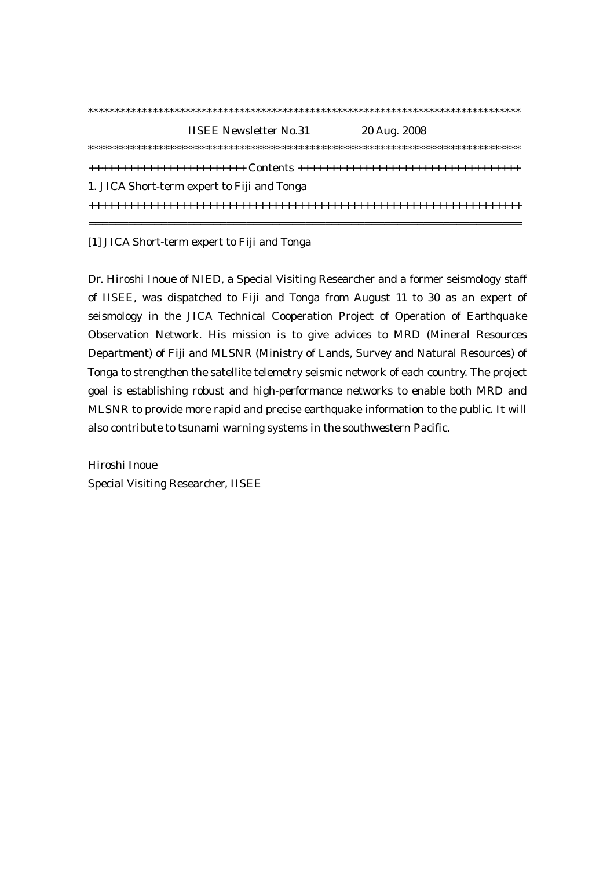|                                             | <b>IISEE Newsletter No.31</b> | 20 Aug. 2008 |  |
|---------------------------------------------|-------------------------------|--------------|--|
|                                             |                               |              |  |
|                                             |                               |              |  |
| 1. JICA Short-term expert to Fiji and Tonga |                               |              |  |
|                                             |                               |              |  |
|                                             |                               |              |  |

[1] JICA Short-term expert to Fiji and Tonga

Dr. Hiroshi Inoue of NIED, a Special Visiting Researcher and a former seismology staff of IISEE, was dispatched to Fiji and Tonga from August 11 to 30 as an expert of seismology in the JICA Technical Cooperation Project of Operation of Earthquake Observation Network. His mission is to give advices to MRD (Mineral Resources Department) of Fiji and MLSNR (Ministry of Lands, Survey and Natural Resources) of Tonga to strengthen the satellite telemetry seismic network of each country. The project goal is establishing robust and high-performance networks to enable both MRD and MLSNR to provide more rapid and precise earthquake information to the public. It will also contribute to tsunami warning systems in the southwestern Pacific.

Hiroshi Inoue Special Visiting Researcher, IISEE